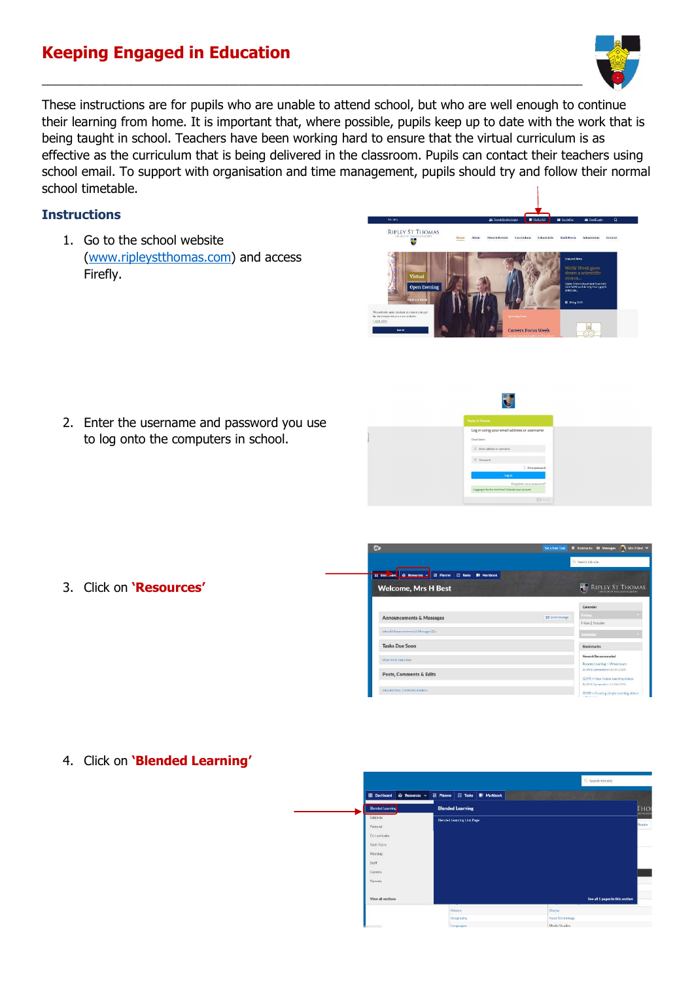## Keeping Engaged in Education



These instructions are for pupils who are unable to attend school, but who are well enough to continue their learning from home. It is important that, where possible, pupils keep up to date with the work that is being taught in school. Teachers have been working hard to ensure that the virtual curriculum is as effective as the curriculum that is being delivered in the classroom. Pupils can contact their teachers using school email. To support with organisation and time management, pupils should try and follow their normal school timetable.

 $\_$  , and the set of the set of the set of the set of the set of the set of the set of the set of the set of the set of the set of the set of the set of the set of the set of the set of the set of the set of the set of th

## **Instructions**

1. Go to the school website (www.ripleystthomas.com) and access Firefly.



2. Enter the username and password you use to log onto the computers in school.



3. Click on 'Resources'



4. Click on 'Blended Learning'

| & Resources v<br><b>88</b> Dashboard | $\Box$ Tasks<br><b>BI</b> Markbook<br><b>E</b> Planner |                                 |
|--------------------------------------|--------------------------------------------------------|---------------------------------|
| <b>Blended Learning</b>              | <b>Blended Learning</b>                                | <b>THO</b>                      |
| Subjects                             | <b>Blended Learning Link Page</b>                      |                                 |
| Pastoral                             |                                                        | Reader                          |
| Co-curricular                        |                                                        |                                 |
| Sixth Form                           |                                                        |                                 |
| Worship                              |                                                        |                                 |
| Staff                                |                                                        |                                 |
| Careers                              |                                                        |                                 |
| Parents <sup></sup>                  |                                                        |                                 |
|                                      |                                                        |                                 |
| View all sections                    |                                                        | See all 1 pages in this section |
|                                      | History                                                | Drama                           |
|                                      | Geography                                              | Food Technology                 |
| 1.71                                 | Languages                                              | Media Studies                   |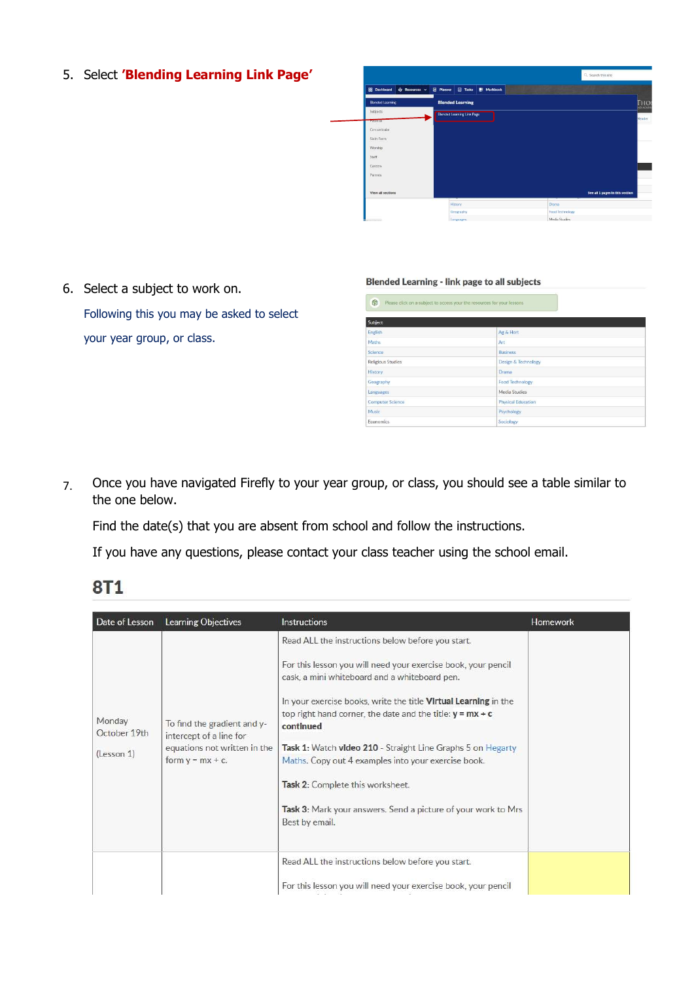5. Select 'Blending Learning Link Page'



6. Select a subject to work on.

Following this you may be asked to select your year group, or class.

## **Blended Learning - link page to all subjects**

| Subject                  |                           |  |  |  |
|--------------------------|---------------------------|--|--|--|
| English                  | Ag & Hort                 |  |  |  |
| Maths.                   | Art-                      |  |  |  |
| Science                  | <b>Business</b>           |  |  |  |
| <b>Religious Studies</b> | Design & Technology       |  |  |  |
| History                  | Drama                     |  |  |  |
| Geography                | <b>Food Technology</b>    |  |  |  |
| Languages                | Media Studies             |  |  |  |
| <b>Computer Science</b>  | <b>Physical Education</b> |  |  |  |
| <b>Music</b>             | Psychology                |  |  |  |
| Economics                | Sociology                 |  |  |  |

7. Once you have navigated Firefly to your year group, or class, you should see a table similar to the one below.

Find the date(s) that you are absent from school and follow the instructions.

If you have any questions, please contact your class teacher using the school email.

| Date of Lesson                       | <b>Learning Objectives</b>                                                                                    | <b>Instructions</b>                                                                                                                                                                                                                                                                                                                                                                                                                                                                                                                                                    | <b>Homework</b> |
|--------------------------------------|---------------------------------------------------------------------------------------------------------------|------------------------------------------------------------------------------------------------------------------------------------------------------------------------------------------------------------------------------------------------------------------------------------------------------------------------------------------------------------------------------------------------------------------------------------------------------------------------------------------------------------------------------------------------------------------------|-----------------|
| Monday<br>October 19th<br>(Lesson 1) | To find the gradient and y-<br>intercept of a line for<br>equations not written in the<br>form $y = mx + c$ . | Read ALL the instructions below before you start.<br>For this lesson you will need your exercise book, your pencil<br>cask, a mini whiteboard and a whiteboard pen.<br>In your exercise books, write the title <b>Virtual Learning</b> in the<br>top right hand corner, the date and the title: $y = mx + c$<br>continued<br>Task 1: Watch video 210 - Straight Line Graphs 5 on Hegarty<br>Maths. Copy out 4 examples into your exercise book.<br>Task 2: Complete this worksheet.<br>Task 3: Mark your answers. Send a picture of your work to Mrs<br>Best by email. |                 |
|                                      |                                                                                                               | Read ALL the instructions below before you start.<br>For this lesson you will need your exercise book, your pencil                                                                                                                                                                                                                                                                                                                                                                                                                                                     |                 |